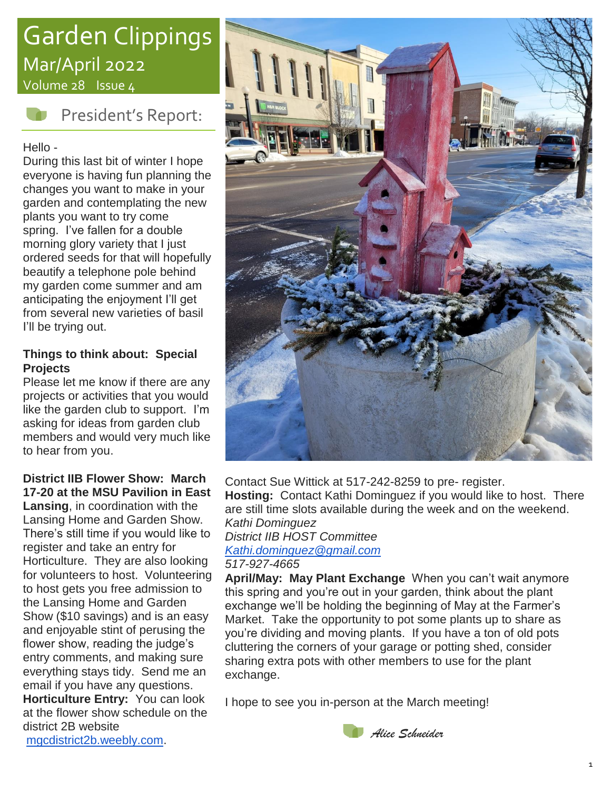# Garden Clippings Mar/April 2022

Volume 28 Issue 4



President's Report:

Hello -

During this last bit of winter I hope everyone is having fun planning the changes you want to make in your garden and contemplating the new plants you want to try come spring. I've fallen for a double morning glory variety that I just ordered seeds for that will hopefully beautify a telephone pole behind my garden come summer and am anticipating the enjoyment I'll get from several new varieties of basil I'll be trying out.

#### **Things to think about: Special Projects**

Please let me know if there are any projects or activities that you would like the garden club to support. I'm asking for ideas from garden club members and would very much like to hear from you.

#### **District IIB Flower Show: March 17-20 at the MSU Pavilion in East**

**Lansing**, in coordination with the Lansing Home and Garden Show. There's still time if you would like to register and take an entry for Horticulture. They are also looking for volunteers to host. Volunteering to host gets you free admission to the Lansing Home and Garden Show (\$10 savings) and is an easy and enjoyable stint of perusing the flower show, reading the judge's entry comments, and making sure everything stays tidy. Send me an email if you have any questions.

**Horticulture Entry:** You can look at the flower show schedule on the district 2B website



Contact Sue Wittick at 517-242-8259 to pre- register. **Hosting:** Contact Kathi Dominguez if you would like to host. There are still time slots available during the week and on the weekend. *Kathi Dominguez District IIB HOST Committee [Kathi.dominguez@gmail.com](mailto:Kathi.dominguez@gmail.com) 517-927-4665*

**April/May: May Plant Exchange** When you can't wait anymore this spring and you're out in your garden, think about the plant exchange we'll be holding the beginning of May at the Farmer's Market. Take the opportunity to pot some plants up to share as you're dividing and moving plants. If you have a ton of old pots cluttering the corners of your garage or potting shed, consider sharing extra pots with other members to use for the plant exchange.

I hope to see you in-person at the March meeting!



[mgcdistrict2b.weebly.com.](http://mgcdistrict2b.weebly.com/)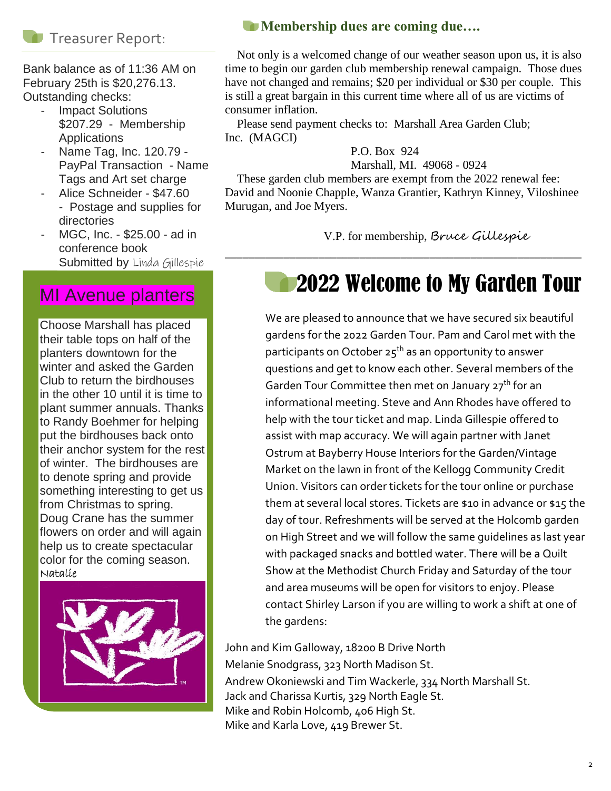#### **Treasurer Report:**

Bank balance as of 11:36 AM on February 25th is \$20,276.13. Outstanding checks:

- **Impact Solutions** \$207.29 - Membership **Applications**
- Name Tag, Inc. 120.79 PayPal Transaction - Name Tags and Art set charge
- Alice Schneider \$47.60 - Postage and supplies for directories
- MGC, Inc. \$25.00 ad in conference book Submitted by Linda Gillespie

### MI Avenue planters

Choose Marshall has placed their table tops on half of the planters downtown for the winter and asked the Garden Club to return the birdhouses in the other 10 until it is time to plant summer annuals. Thanks to Randy Boehmer for helping put the birdhouses back onto their anchor system for the rest of winter. The birdhouses are to denote spring and provide something interesting to get us from Christmas to spring. Doug Crane has the summer flowers on order and will again help us to create spectacular color for the coming season. Natalie



#### **Membership dues are coming due....**

 Not only is a welcomed change of our weather season upon us, it is also time to begin our garden club membership renewal campaign. Those dues have not changed and remains; \$20 per individual or \$30 per couple. This is still a great bargain in this current time where all of us are victims of consumer inflation.

 Please send payment checks to: Marshall Area Garden Club; Inc. (MAGCI)

P.O. Box 924

Marshall, MI. 49068 - 0924

 These garden club members are exempt from the 2022 renewal fee: David and Noonie Chapple, Wanza Grantier, Kathryn Kinney, Viloshinee Murugan, and Joe Myers.

\_\_\_\_\_\_\_\_\_\_\_\_\_\_\_\_\_\_\_\_\_\_\_\_\_\_\_\_\_\_\_\_\_\_\_\_\_\_\_\_\_\_\_\_\_\_\_\_\_\_\_\_\_\_\_\_\_\_\_\_\_

V.P. for membership, Bruce Gillespie

## 2022 Welcome to My Garden Tour

We are pleased to announce that we have secured six beautiful gardens for the 2022 Garden Tour. Pam and Carol met with the participants on October  $25<sup>th</sup>$  as an opportunity to answer questions and get to know each other. Several members of the Garden Tour Committee then met on January 27<sup>th</sup> for an informational meeting. Steve and Ann Rhodes have offered to help with the tour ticket and map. Linda Gillespie offered to assist with map accuracy. We will again partner with Janet Ostrum at Bayberry House Interiors for the Garden/Vintage Market on the lawn in front of the Kellogg Community Credit Union. Visitors can order tickets for the tour online or purchase them at several local stores. Tickets are \$10 in advance or \$15 the day of tour. Refreshments will be served at the Holcomb garden on High Street and we will follow the same guidelines as last year with packaged snacks and bottled water. There will be a Quilt Show at the Methodist Church Friday and Saturday of the tour and area museums will be open for visitors to enjoy. Please contact Shirley Larson if you are willing to work a shift at one of the gardens:

John and Kim Galloway, 18200 B Drive North Melanie Snodgrass, 323 North Madison St. Andrew Okoniewski and Tim Wackerle, 334 North Marshall St. Jack and Charissa Kurtis, 329 North Eagle St. Mike and Robin Holcomb, 406 High St. Mike and Karla Love, 419 Brewer St.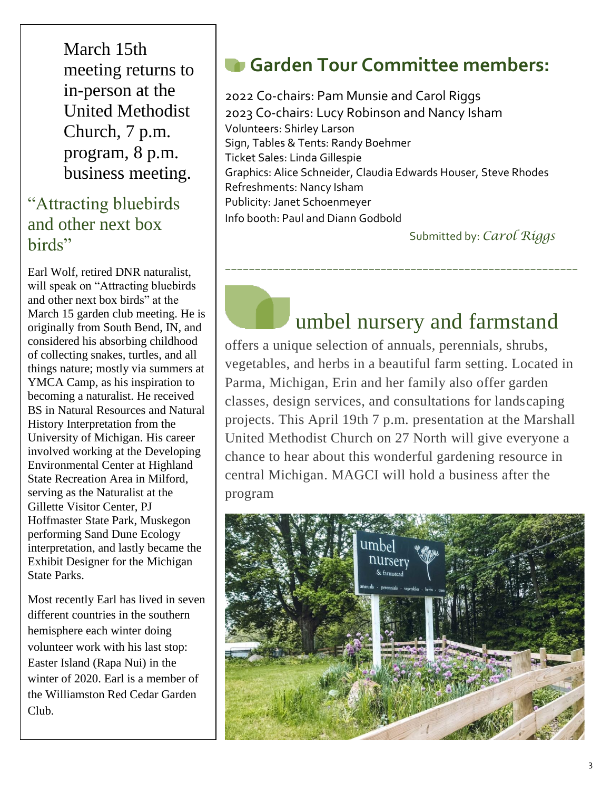March 15th meeting returns to in-person at the United Methodist Church, 7 p.m. program, 8 p.m. business meeting.

### "Attracting bluebirds and other next box birds"

Earl Wolf, retired DNR naturalist, will speak on "Attracting bluebirds and other next box birds" at the March 15 garden club meeting. He is originally from South Bend, IN, and considered his absorbing childhood of collecting snakes, turtles, and all things nature; mostly via summers at YMCA Camp, as his inspiration to becoming a naturalist. He received BS in Natural Resources and Natural History Interpretation from the University of Michigan. His career involved working at the Developing Environmental Center at Highland State Recreation Area in Milford, serving as the Naturalist at the Gillette Visitor Center, PJ Hoffmaster State Park, Muskegon performing Sand Dune Ecology interpretation, and lastly became the Exhibit Designer for the Michigan State Parks.

Most recently Earl has lived in seven different countries in the southern hemisphere each winter doing volunteer work with his last stop: Easter Island (Rapa Nui) in the winter of 2020. Earl is a member of the Williamston Red Cedar Garden Club.

## **Garden Tour Committee members:**

2022 Co-chairs: Pam Munsie and Carol Riggs 2023 Co-chairs: Lucy Robinson and Nancy Isham Volunteers: Shirley Larson Sign, Tables & Tents: Randy Boehmer Ticket Sales: Linda Gillespie Graphics: Alice Schneider, Claudia Edwards Houser, Steve Rhodes Refreshments: Nancy Isham Publicity: Janet Schoenmeyer Info booth: Paul and Diann Godbold

Submitted by: *Carol Riggs*

## umbel nursery and farmstand

offers a unique selection of annuals, perennials, shrubs, vegetables, and herbs in a beautiful farm setting. Located in Parma, Michigan, Erin and her family also offer garden classes, design services, and consultations for landscaping projects. This April 19th 7 p.m. presentation at the Marshall United Methodist Church on 27 North will give everyone a chance to hear about this wonderful gardening resource in central Michigan. MAGCI will hold a business after the program

*\_\_\_\_\_\_\_\_\_\_\_\_\_\_\_\_\_\_\_\_\_\_\_\_\_\_\_\_\_\_\_\_\_\_\_\_\_\_\_\_\_\_\_\_\_\_\_\_\_\_\_\_\_\_\_\_\_\_\_*